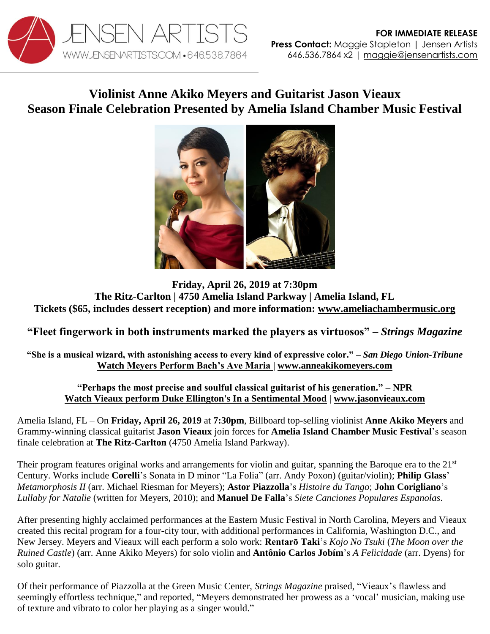

# **Violinist Anne Akiko Meyers and Guitarist Jason Vieaux Season Finale Celebration Presented by Amelia Island Chamber Music Festival**



**Friday, April 26, 2019 at 7:30pm The Ritz-Carlton | 4750 Amelia Island Parkway | Amelia Island, FL Tickets (\$65, includes dessert reception) and more information: [www.ameliachambermusic.org](https://ameliachambermusic.org/show-item/aicmf-closing-gala/)**

## **"Fleet fingerwork in both instruments marked the players as virtuosos" –** *Strings Magazine*

**"She is a musical wizard, with astonishing access to every kind of expressive color." –** *San Diego Union-Tribune* **[Watch Meyers Perform Bach's Ave Maria](https://www.youtube.com/watch?v=PCqXpgmkgkM) | [www.anneakikomeyers.com](http://www.anneakikomeyers.com/)**

#### **"Perhaps the most precise and soulful classical guitarist of his generation." – NPR [Watch Vieaux perform Duke Ellington's In a Sentimental Mood](https://www.youtube.com/watch?v=6Mod9vYk4IE)** *|* **[www.jasonvieaux.com](http://www.jasonvieaux.com/)**

Amelia Island, FL – On **Friday, April 26, 2019** at **7:30pm**, Billboard top-selling violinist **Anne Akiko Meyers** and Grammy-winning classical guitarist **Jason Vieaux** join forces for **Amelia Island Chamber Music Festival**'s season finale celebration at **The Ritz-Carlton** (4750 Amelia Island Parkway).

Their program features original works and arrangements for violin and guitar, spanning the Baroque era to the 21<sup>st</sup> Century. Works include **Corelli**'s Sonata in D minor "La Folia" (arr. Andy Poxon) (guitar/violin); **Philip Glass**' *Metamorphosis II* (arr. Michael Riesman for Meyers); **Astor Piazzolla**'s *Histoire du Tango*; **John Corigliano**'s *Lullaby for Natalie* (written for Meyers, 2010); and **Manuel De Falla**'s *Siete Canciones Populares Espanolas*.

After presenting highly acclaimed performances at the Eastern Music Festival in North Carolina, Meyers and Vieaux created this recital program for a four-city tour, with additional performances in California, Washington D.C., and New Jersey. Meyers and Vieaux will each perform a solo work: **Rentarō Taki**'s *Kojo No Tsuki* (*The Moon over the Ruined Castle*) (arr. Anne Akiko Meyers) for solo violin and **Antônio Carlos Jobím**'s *A Felicidade* (arr. Dyens) for solo guitar.

Of their performance of Piazzolla at the Green Music Center, *Strings Magazine* praised, "Vieaux's flawless and seemingly effortless technique," and reported, "Meyers demonstrated her prowess as a 'vocal' musician, making use of texture and vibrato to color her playing as a singer would."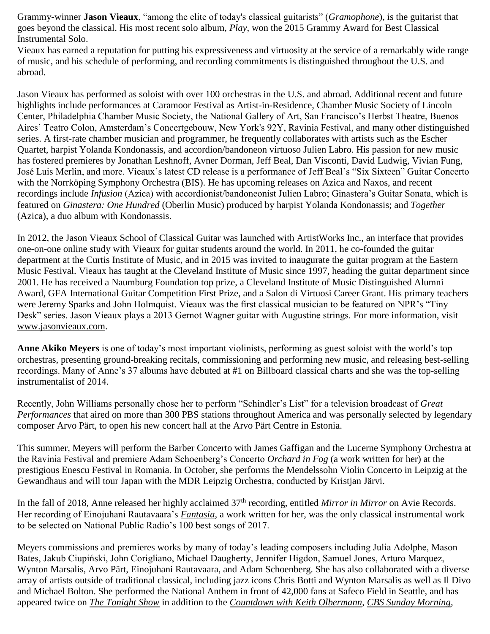Grammy-winner **Jason Vieaux**, "among the elite of today's classical guitarists" (*Gramophone*), is the guitarist that goes beyond the classical. His most recent solo album, *Play*, won the 2015 Grammy Award for Best Classical Instrumental Solo.

Vieaux has earned a reputation for putting his expressiveness and virtuosity at the service of a remarkably wide range of music, and his schedule of performing, and recording commitments is distinguished throughout the U.S. and abroad.

Jason Vieaux has performed as soloist with over 100 orchestras in the U.S. and abroad. Additional recent and future highlights include performances at Caramoor Festival as Artist-in-Residence, Chamber Music Society of Lincoln Center, Philadelphia Chamber Music Society, the National Gallery of Art, San Francisco's Herbst Theatre, Buenos Aires' Teatro Colon, Amsterdam's Concertgebouw, New York's 92Y, Ravinia Festival, and many other distinguished series. A first-rate chamber musician and programmer, he frequently collaborates with artists such as the Escher Quartet, harpist Yolanda Kondonassis, and accordion/bandoneon virtuoso Julien Labro. His passion for new music has fostered premieres by Jonathan Leshnoff, Avner Dorman, Jeff Beal, Dan Visconti, David Ludwig, Vivian Fung, José Luis Merlin, and more. Vieaux's latest CD release is a performance of Jeff Beal's "Six Sixteen" Guitar Concerto with the Norrköping Symphony Orchestra (BIS). He has upcoming releases on Azica and Naxos, and recent recordings include *Infusion* (Azica) with accordionist/bandoneonist Julien Labro; Ginastera's Guitar Sonata, which is featured on *Ginastera: One Hundred* (Oberlin Music) produced by harpist Yolanda Kondonassis; and *Together*  (Azica), a duo album with Kondonassis.

In 2012, the Jason Vieaux School of Classical Guitar was launched with ArtistWorks Inc., an interface that provides one-on-one online study with Vieaux for guitar students around the world. In 2011, he co-founded the guitar department at the Curtis Institute of Music, and in 2015 was invited to inaugurate the guitar program at the Eastern Music Festival. Vieaux has taught at the Cleveland Institute of Music since 1997, heading the guitar department since 2001. He has received a Naumburg Foundation top prize, a Cleveland Institute of Music Distinguished Alumni Award, GFA International Guitar Competition First Prize, and a Salon di Virtuosi Career Grant. His primary teachers were Jeremy Sparks and John Holmquist. Vieaux was the first classical musician to be featured on NPR's "Tiny Desk" series. Jason Vieaux plays a 2013 Gernot Wagner guitar with Augustine strings. For more information, visit [www.jasonvieaux.com.](http://www.jasonvieaux.com/)

**Anne Akiko Meyers** is one of today's most important violinists, performing as guest soloist with the world's top orchestras, presenting ground-breaking recitals, commissioning and performing new music, and releasing best-selling recordings. Many of Anne's 37 albums have debuted at #1 on Billboard classical charts and she was the top-selling instrumentalist of 2014.

Recently, John Williams personally chose her to perform "Schindler's List" for a television broadcast of *Great Performances* that aired on more than 300 PBS stations throughout America and was personally selected by legendary composer Arvo Pärt, to open his new concert hall at the Arvo Pärt Centre in Estonia.

This summer, Meyers will perform the Barber Concerto with James Gaffigan and the Lucerne Symphony Orchestra at the Ravinia Festival and premiere Adam Schoenberg's Concerto *Orchard in Fog* (a work written for her) at the prestigious Enescu Festival in Romania. In October, she performs the Mendelssohn Violin Concerto in Leipzig at the Gewandhaus and will tour Japan with the MDR Leipzig Orchestra, conducted by Kristjan Järvi.

In the fall of 2018, Anne released her highly acclaimed 37<sup>th</sup> recording, entitled *Mirror in Mirror* on Avie Records. Her recording of Einojuhani Rautavaara's *[Fantasia](https://www.youtube.com/watch?v=kXMAxPYiPVU)*, a work written for her, was the only classical instrumental work to be selected on National Public Radio's 100 best songs of 2017.

Meyers commissions and premieres works by many of today's leading composers including Julia Adolphe, Mason Bates, Jakub Ciupiński, John Corigliano, Michael Daugherty, Jennifer Higdon, Samuel Jones, Arturo Marquez, Wynton Marsalis, Arvo Pärt, Einojuhani Rautavaara, and Adam Schoenberg. She has also collaborated with a diverse array of artists outside of traditional classical, including jazz icons Chris Botti and Wynton Marsalis as well as Il Divo and Michael Bolton. She performed the National Anthem in front of 42,000 fans at Safeco Field in Seattle, and has appeared twice on *[The Tonight Show](https://www.youtube.com/watch?v=GHyQ-uwVvco)* in addition to the *[Countdown with Keith Olbermann](https://www.youtube.com/watch?v=CoPJrgF3FZw)*, *[CBS Sunday Morning](https://www.youtube.com/watch?v=GxxKF2ODh98)*,